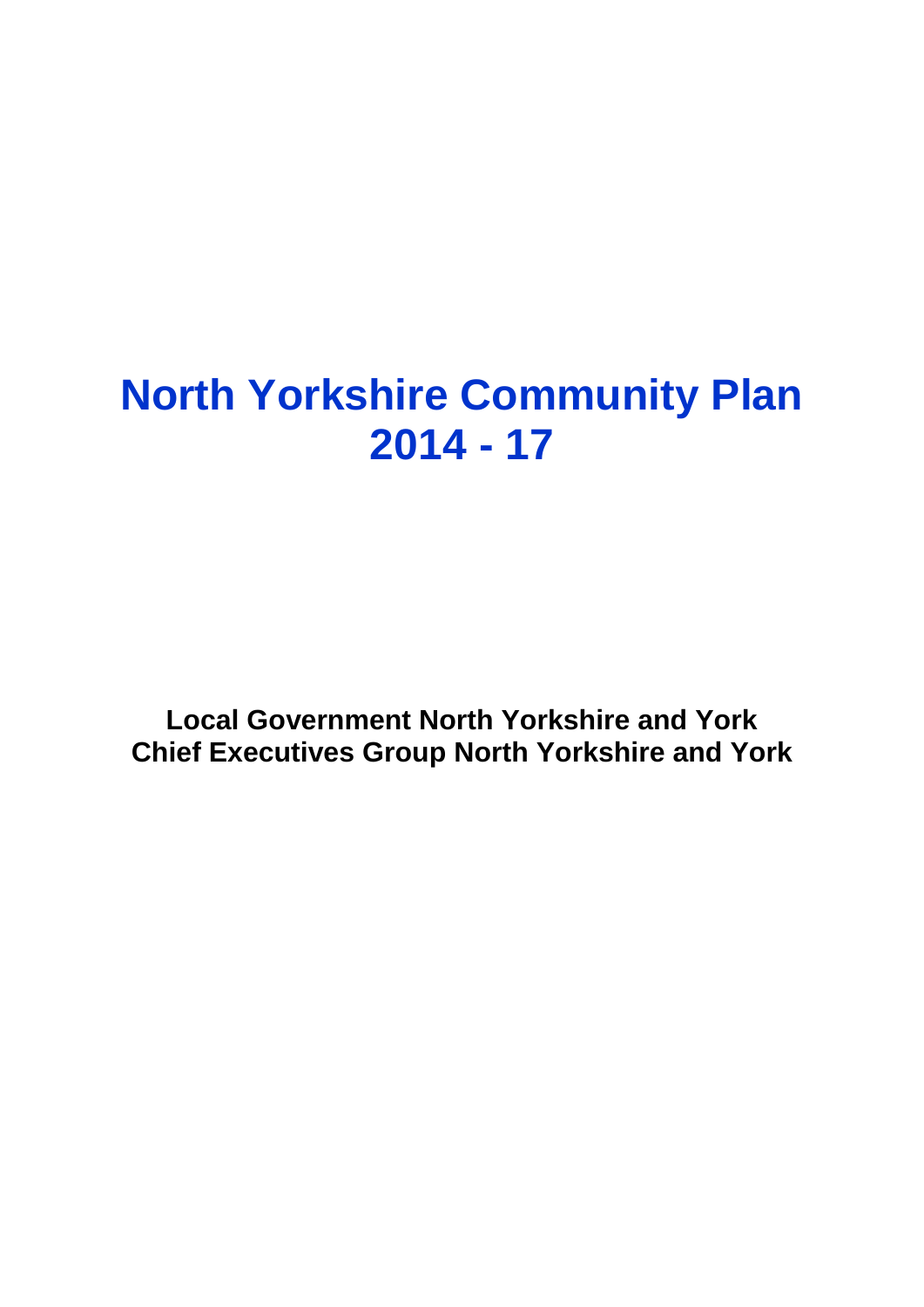# **North Yorkshire Community Plan 2014 - 17**

**Local Government North Yorkshire and York Chief Executives Group North Yorkshire and York**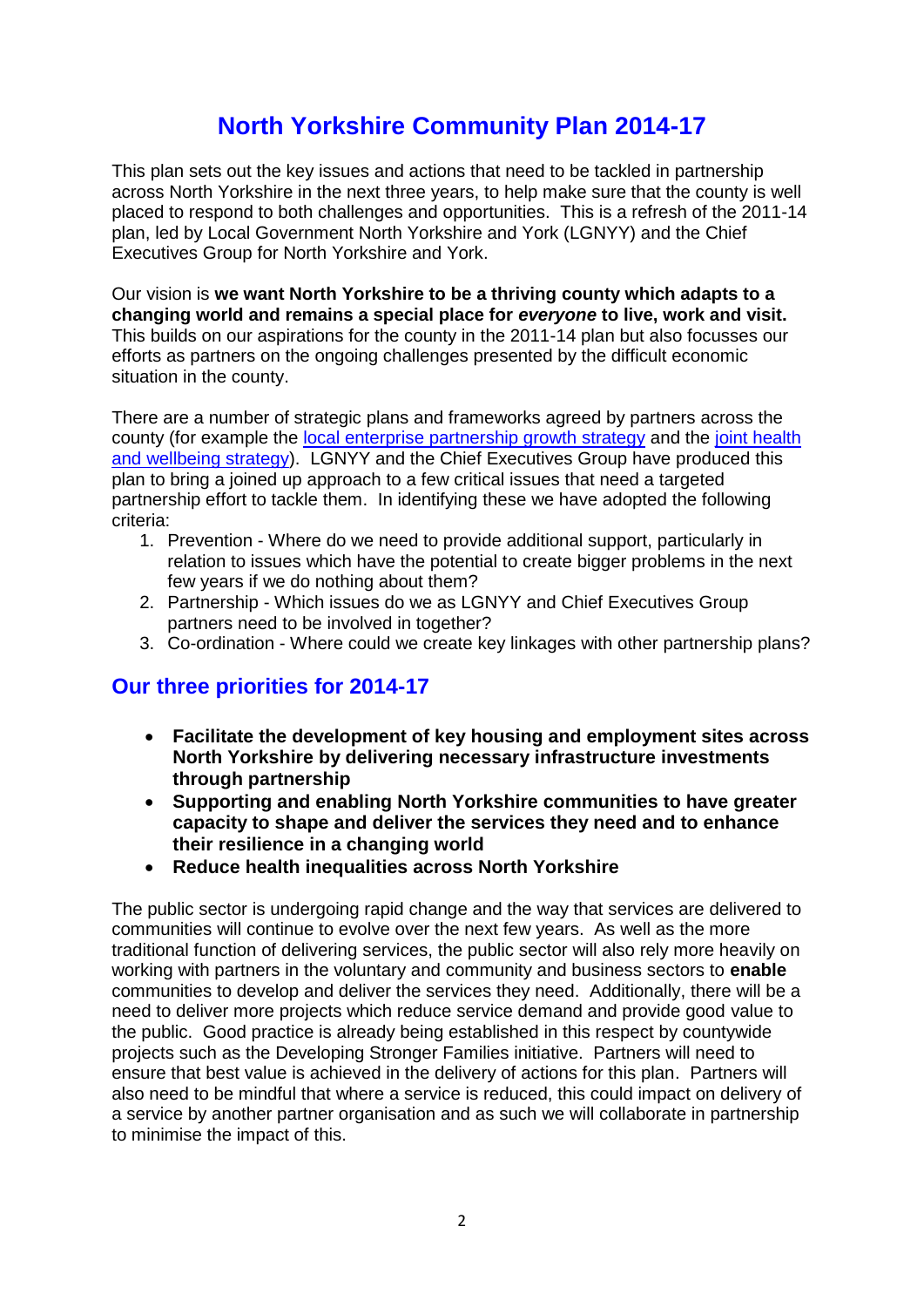# **North Yorkshire Community Plan 2014-17**

This plan sets out the key issues and actions that need to be tackled in partnership across North Yorkshire in the next three years, to help make sure that the county is well placed to respond to both challenges and opportunities. This is a refresh of the 2011-14 plan, led by Local Government North Yorkshire and York (LGNYY) and the Chief Executives Group for North Yorkshire and York.

Our vision is **we want North Yorkshire to be a thriving county which adapts to a changing world and remains a special place for** *everyone* **to live, work and visit.**  This builds on our aspirations for the county in the 2011-14 plan but also focusses our efforts as partners on the ongoing challenges presented by the difficult economic situation in the county.

There are a number of strategic plans and frameworks agreed by partners across the county (for example the [local enterprise partnership growth strategy](http://www.businessinspiredgrowth.com/media/167751/local-growth-deal-implementation-plan.pdf) and the [joint health](http://www.nypartnerships.org.uk/index.aspx?articleid=20933)  [and wellbeing strategy\)](http://www.nypartnerships.org.uk/index.aspx?articleid=20933). LGNYY and the Chief Executives Group have produced this plan to bring a joined up approach to a few critical issues that need a targeted partnership effort to tackle them. In identifying these we have adopted the following criteria:

- 1. Prevention Where do we need to provide additional support, particularly in relation to issues which have the potential to create bigger problems in the next few years if we do nothing about them?
- 2. Partnership Which issues do we as LGNYY and Chief Executives Group partners need to be involved in together?
- 3. Co-ordination Where could we create key linkages with other partnership plans?

# **Our three priorities for 2014-17**

- **Facilitate the development of key housing and employment sites across North Yorkshire by delivering necessary infrastructure investments through partnership**
- **Supporting and enabling North Yorkshire communities to have greater capacity to shape and deliver the services they need and to enhance their resilience in a changing world**
- **Reduce health inequalities across North Yorkshire**

The public sector is undergoing rapid change and the way that services are delivered to communities will continue to evolve over the next few years. As well as the more traditional function of delivering services, the public sector will also rely more heavily on working with partners in the voluntary and community and business sectors to **enable** communities to develop and deliver the services they need. Additionally, there will be a need to deliver more projects which reduce service demand and provide good value to the public. Good practice is already being established in this respect by countywide projects such as the Developing Stronger Families initiative. Partners will need to ensure that best value is achieved in the delivery of actions for this plan. Partners will also need to be mindful that where a service is reduced, this could impact on delivery of a service by another partner organisation and as such we will collaborate in partnership to minimise the impact of this.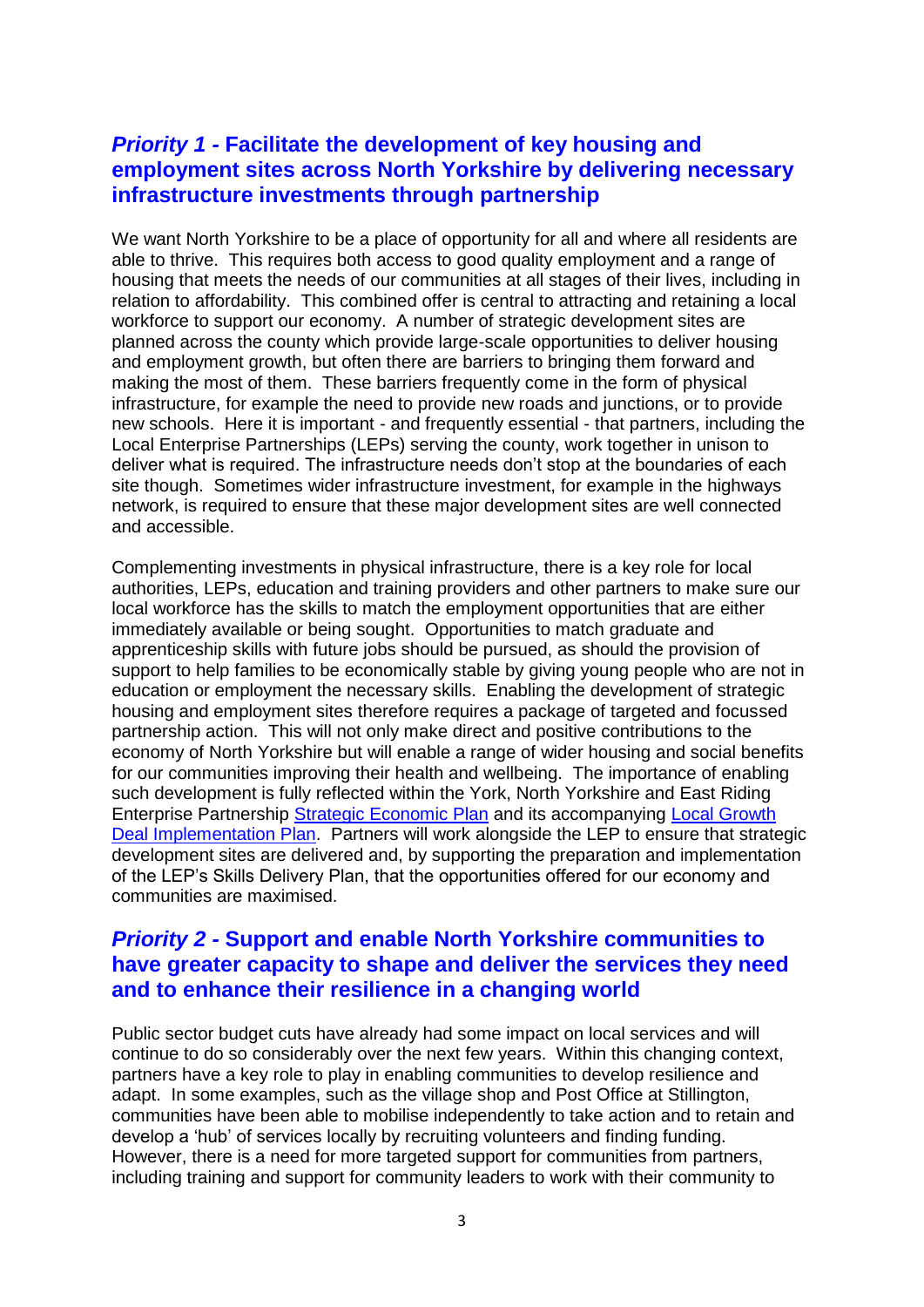#### *Priority 1 -* **Facilitate the development of key housing and employment sites across North Yorkshire by delivering necessary infrastructure investments through partnership**

We want North Yorkshire to be a place of opportunity for all and where all residents are able to thrive. This requires both access to good quality employment and a range of housing that meets the needs of our communities at all stages of their lives, including in relation to affordability. This combined offer is central to attracting and retaining a local workforce to support our economy. A number of strategic development sites are planned across the county which provide large-scale opportunities to deliver housing and employment growth, but often there are barriers to bringing them forward and making the most of them. These barriers frequently come in the form of physical infrastructure, for example the need to provide new roads and junctions, or to provide new schools. Here it is important - and frequently essential - that partners, including the Local Enterprise Partnerships (LEPs) serving the county, work together in unison to deliver what is required. The infrastructure needs don't stop at the boundaries of each site though. Sometimes wider infrastructure investment, for example in the highways network, is required to ensure that these major development sites are well connected and accessible.

Complementing investments in physical infrastructure, there is a key role for local authorities, LEPs, education and training providers and other partners to make sure our local workforce has the skills to match the employment opportunities that are either immediately available or being sought. Opportunities to match graduate and apprenticeship skills with future jobs should be pursued, as should the provision of support to help families to be economically stable by giving young people who are not in education or employment the necessary skills. Enabling the development of strategic housing and employment sites therefore requires a package of targeted and focussed partnership action. This will not only make direct and positive contributions to the economy of North Yorkshire but will enable a range of wider housing and social benefits for our communities improving their health and wellbeing. The importance of enabling such development is fully reflected within the York, North Yorkshire and East Riding Enterprise Partnership [Strategic Economic Plan](http://www.businessinspiredgrowth.com/about-the-lep/documents/) and its accompanying [Local Growth](http://www.businessinspiredgrowth.com/media/167751/local-growth-deal-implementation-plan.pdf)  [Deal Implementation Plan.](http://www.businessinspiredgrowth.com/media/167751/local-growth-deal-implementation-plan.pdf) Partners will work alongside the LEP to ensure that strategic development sites are delivered and, by supporting the preparation and implementation of the LEP's Skills Delivery Plan, that the opportunities offered for our economy and communities are maximised.

#### *Priority 2 -* **Support and enable North Yorkshire communities to have greater capacity to shape and deliver the services they need and to enhance their resilience in a changing world**

Public sector budget cuts have already had some impact on local services and will continue to do so considerably over the next few years. Within this changing context, partners have a key role to play in enabling communities to develop resilience and adapt. In some examples, such as the village shop and Post Office at Stillington, communities have been able to mobilise independently to take action and to retain and develop a 'hub' of services locally by recruiting volunteers and finding funding. However, there is a need for more targeted support for communities from partners, including training and support for community leaders to work with their community to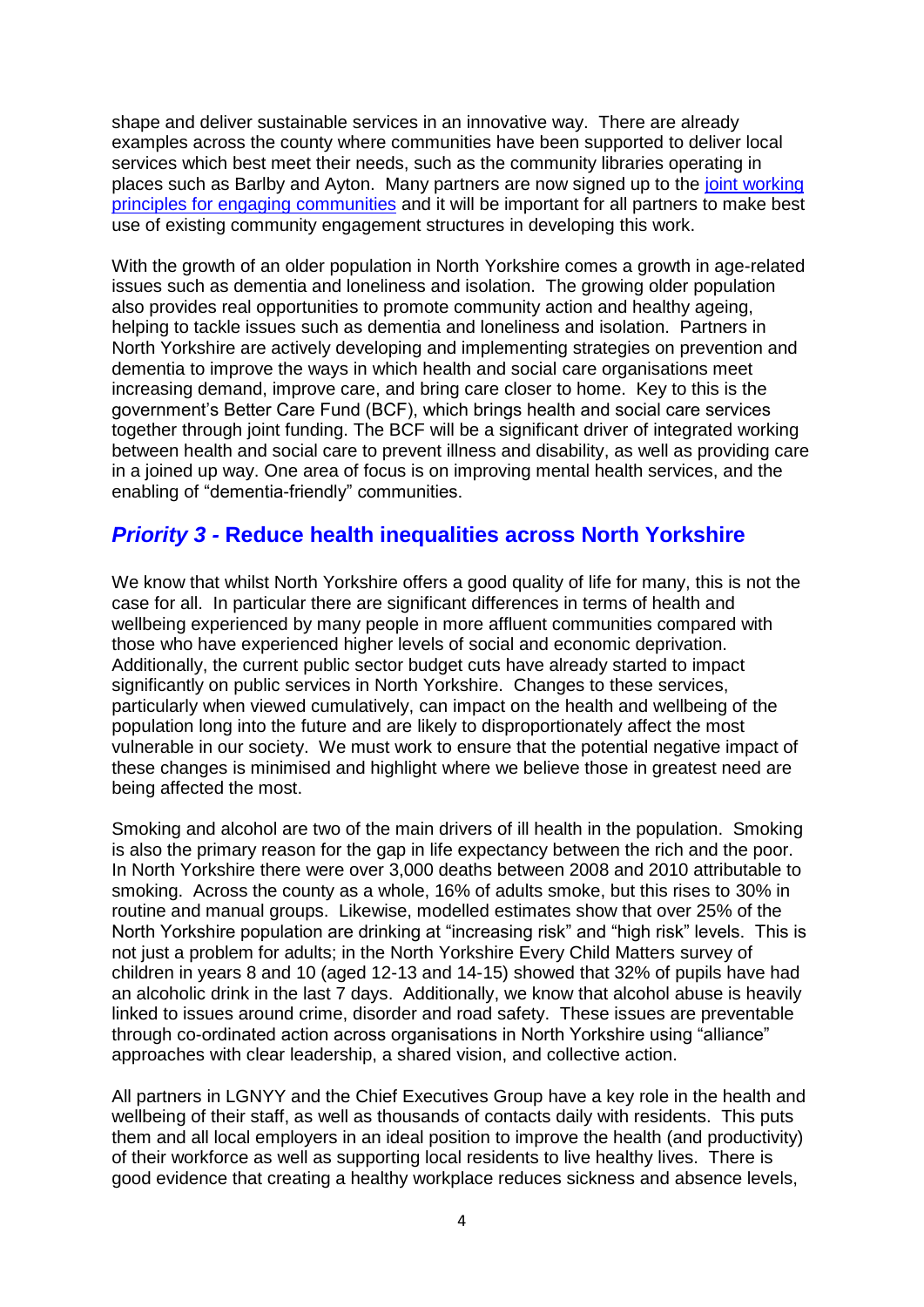shape and deliver sustainable services in an innovative way. There are already examples across the county where communities have been supported to deliver local services which best meet their needs, such as the community libraries operating in places such as Barlby and Ayton. Many partners are now signed up to the [joint working](http://www.nypartnerships.org.uk/index.aspx?articleid=16832)  [principles for engaging communities](http://www.nypartnerships.org.uk/index.aspx?articleid=16832) and it will be important for all partners to make best use of existing community engagement structures in developing this work.

With the growth of an older population in North Yorkshire comes a growth in age-related issues such as dementia and loneliness and isolation. The growing older population also provides real opportunities to promote community action and healthy ageing, helping to tackle issues such as dementia and loneliness and isolation. Partners in North Yorkshire are actively developing and implementing strategies on prevention and dementia to improve the ways in which health and social care organisations meet increasing demand, improve care, and bring care closer to home. Key to this is the government's Better Care Fund (BCF), which brings health and social care services together through joint funding. The BCF will be a significant driver of integrated working between health and social care to prevent illness and disability, as well as providing care in a joined up way. One area of focus is on improving mental health services, and the enabling of "dementia-friendly" communities.

### *Priority 3 -* **Reduce health inequalities across North Yorkshire**

We know that whilst North Yorkshire offers a good quality of life for many, this is not the case for all. In particular there are significant differences in terms of health and wellbeing experienced by many people in more affluent communities compared with those who have experienced higher levels of social and economic deprivation. Additionally, the current public sector budget cuts have already started to impact significantly on public services in North Yorkshire. Changes to these services, particularly when viewed cumulatively, can impact on the health and wellbeing of the population long into the future and are likely to disproportionately affect the most vulnerable in our society. We must work to ensure that the potential negative impact of these changes is minimised and highlight where we believe those in greatest need are being affected the most.

Smoking and alcohol are two of the main drivers of ill health in the population. Smoking is also the primary reason for the gap in life expectancy between the rich and the poor. In North Yorkshire there were over 3,000 deaths between 2008 and 2010 attributable to smoking. Across the county as a whole, 16% of adults smoke, but this rises to 30% in routine and manual groups. Likewise, modelled estimates show that over 25% of the North Yorkshire population are drinking at "increasing risk" and "high risk" levels. This is not just a problem for adults; in the North Yorkshire Every Child Matters survey of children in years 8 and 10 (aged 12-13 and 14-15) showed that 32% of pupils have had an alcoholic drink in the last  $\overline{7}$  days. Additionally, we know that alcohol abuse is heavily linked to issues around crime, disorder and road safety. These issues are preventable through co-ordinated action across organisations in North Yorkshire using "alliance" approaches with clear leadership, a shared vision, and collective action.

All partners in LGNYY and the Chief Executives Group have a key role in the health and wellbeing of their staff, as well as thousands of contacts daily with residents. This puts them and all local employers in an ideal position to improve the health (and productivity) of their workforce as well as supporting local residents to live healthy lives. There is good evidence that creating a healthy workplace reduces sickness and absence levels,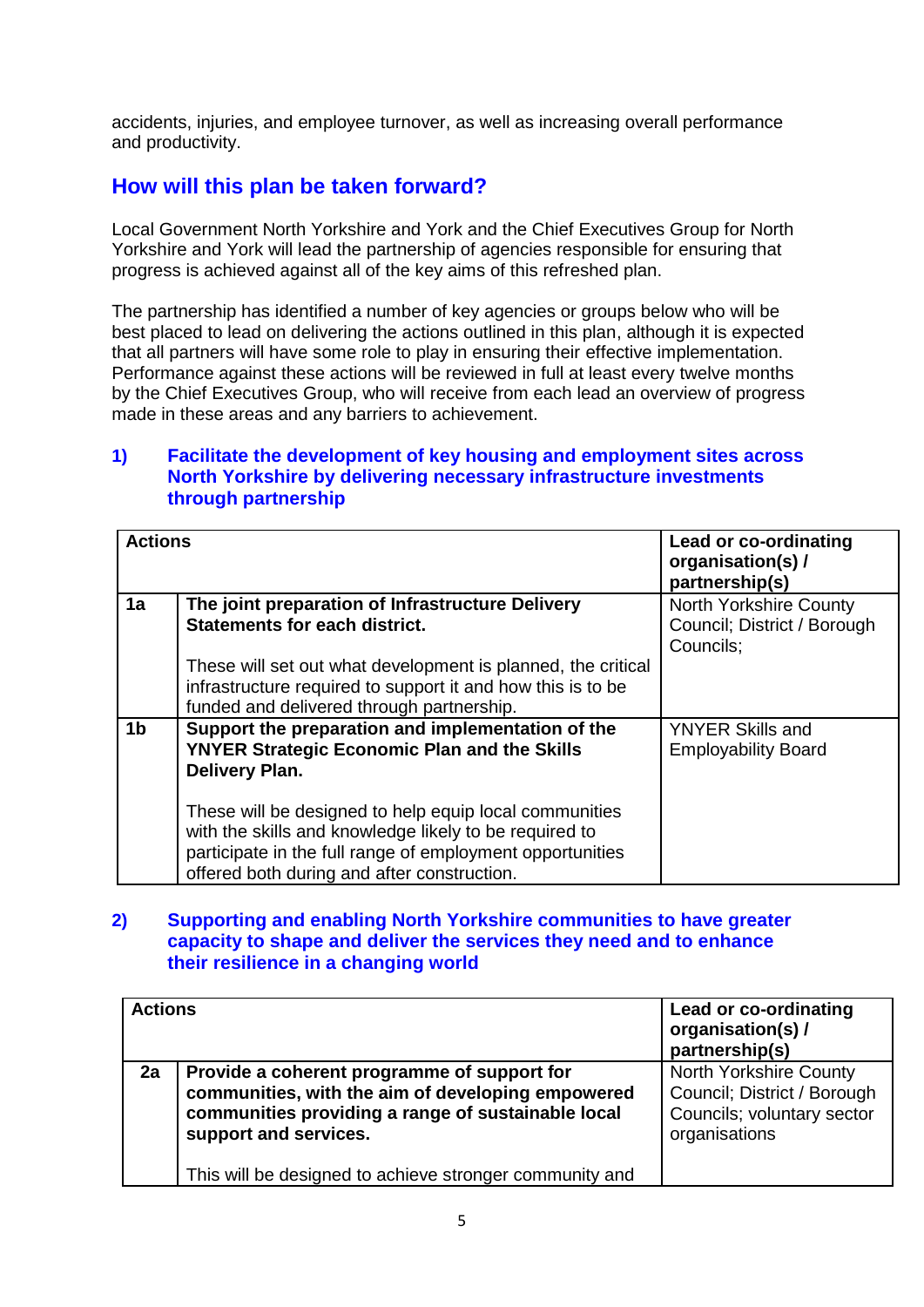accidents, injuries, and employee turnover, as well as increasing overall performance and productivity.

## **How will this plan be taken forward?**

Local Government North Yorkshire and York and the Chief Executives Group for North Yorkshire and York will lead the partnership of agencies responsible for ensuring that progress is achieved against all of the key aims of this refreshed plan.

The partnership has identified a number of key agencies or groups below who will be best placed to lead on delivering the actions outlined in this plan, although it is expected that all partners will have some role to play in ensuring their effective implementation. Performance against these actions will be reviewed in full at least every twelve months by the Chief Executives Group, who will receive from each lead an overview of progress made in these areas and any barriers to achievement.

#### **1) Facilitate the development of key housing and employment sites across North Yorkshire by delivering necessary infrastructure investments through partnership**

| <b>Actions</b> |                                                                                                                                                                                                                              | Lead or co-ordinating<br>organisation(s) /<br>partnership(s)              |
|----------------|------------------------------------------------------------------------------------------------------------------------------------------------------------------------------------------------------------------------------|---------------------------------------------------------------------------|
| 1a             | The joint preparation of Infrastructure Delivery<br><b>Statements for each district.</b>                                                                                                                                     | <b>North Yorkshire County</b><br>Council; District / Borough<br>Councils; |
|                | These will set out what development is planned, the critical<br>infrastructure required to support it and how this is to be<br>funded and delivered through partnership.                                                     |                                                                           |
| 1 <sub>b</sub> | Support the preparation and implementation of the<br><b>YNYER Strategic Economic Plan and the Skills</b><br><b>Delivery Plan.</b>                                                                                            | <b>YNYER Skills and</b><br><b>Employability Board</b>                     |
|                | These will be designed to help equip local communities<br>with the skills and knowledge likely to be required to<br>participate in the full range of employment opportunities<br>offered both during and after construction. |                                                                           |

#### **2) Supporting and enabling North Yorkshire communities to have greater capacity to shape and deliver the services they need and to enhance their resilience in a changing world**

| <b>Actions</b> |                                                                                                                                                                                 | Lead or co-ordinating<br>organisation(s) /<br>partnership(s)                                         |
|----------------|---------------------------------------------------------------------------------------------------------------------------------------------------------------------------------|------------------------------------------------------------------------------------------------------|
| 2a             | Provide a coherent programme of support for<br>communities, with the aim of developing empowered<br>communities providing a range of sustainable local<br>support and services. | North Yorkshire County<br>Council; District / Borough<br>Councils; voluntary sector<br>organisations |
|                | This will be designed to achieve stronger community and                                                                                                                         |                                                                                                      |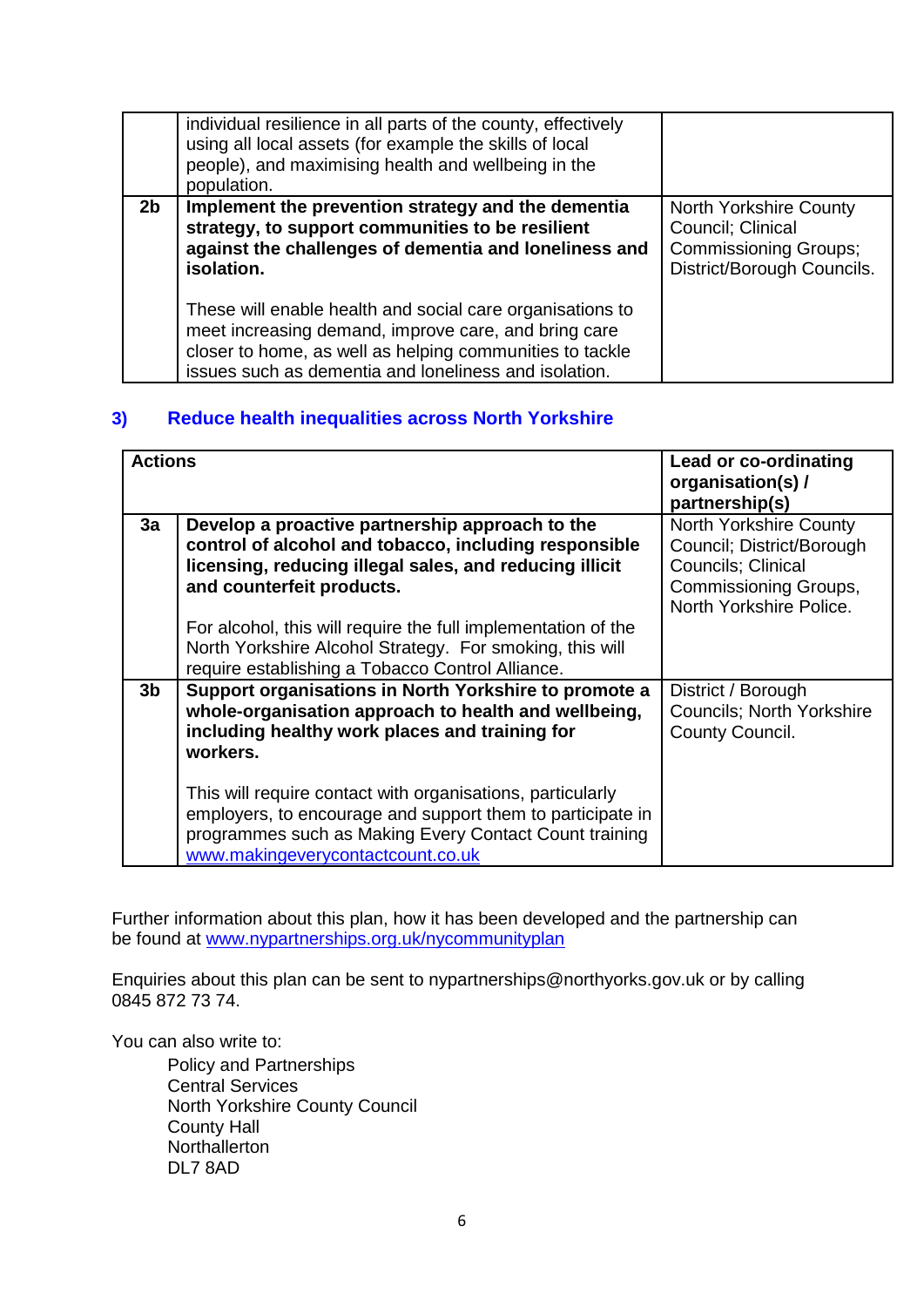|                | individual resilience in all parts of the county, effectively<br>using all local assets (for example the skills of local<br>people), and maximising health and wellbeing in the<br>population.                                         |                                                                                                           |
|----------------|----------------------------------------------------------------------------------------------------------------------------------------------------------------------------------------------------------------------------------------|-----------------------------------------------------------------------------------------------------------|
| 2 <sub>b</sub> | Implement the prevention strategy and the dementia<br>strategy, to support communities to be resilient<br>against the challenges of dementia and loneliness and<br>isolation.                                                          | North Yorkshire County<br>Council; Clinical<br><b>Commissioning Groups;</b><br>District/Borough Councils. |
|                | These will enable health and social care organisations to<br>meet increasing demand, improve care, and bring care<br>closer to home, as well as helping communities to tackle<br>issues such as dementia and loneliness and isolation. |                                                                                                           |

#### **3) Reduce health inequalities across North Yorkshire**

| <b>Actions</b> |                                                                                                                                                                                                                         | Lead or co-ordinating<br>organisation(s)/<br>partnership(s)                                                                                         |
|----------------|-------------------------------------------------------------------------------------------------------------------------------------------------------------------------------------------------------------------------|-----------------------------------------------------------------------------------------------------------------------------------------------------|
| 3a             | Develop a proactive partnership approach to the<br>control of alcohol and tobacco, including responsible<br>licensing, reducing illegal sales, and reducing illicit<br>and counterfeit products.                        | <b>North Yorkshire County</b><br>Council; District/Borough<br><b>Councils</b> ; Clinical<br><b>Commissioning Groups,</b><br>North Yorkshire Police. |
|                | For alcohol, this will require the full implementation of the<br>North Yorkshire Alcohol Strategy. For smoking, this will<br>require establishing a Tobacco Control Alliance.                                           |                                                                                                                                                     |
| 3 <sub>b</sub> | Support organisations in North Yorkshire to promote a<br>whole-organisation approach to health and wellbeing,<br>including healthy work places and training for<br>workers.                                             | District / Borough<br><b>Councils: North Yorkshire</b><br>County Council.                                                                           |
|                | This will require contact with organisations, particularly<br>employers, to encourage and support them to participate in<br>programmes such as Making Every Contact Count training<br>www.makingeverycontactcount.co.uk |                                                                                                                                                     |

Further information about this plan, how it has been developed and the partnership can be found at [www.nypartnerships.org.uk/nycommunityplan](http://www.nypartnerships.org.uk/nycommunityplan)

Enquiries about this plan can be sent to nypartnerships@northyorks.gov.uk or by calling 0845 872 73 74.

You can also write to:

Policy and Partnerships Central Services North Yorkshire County Council County Hall **Northallerton** DL7 8AD